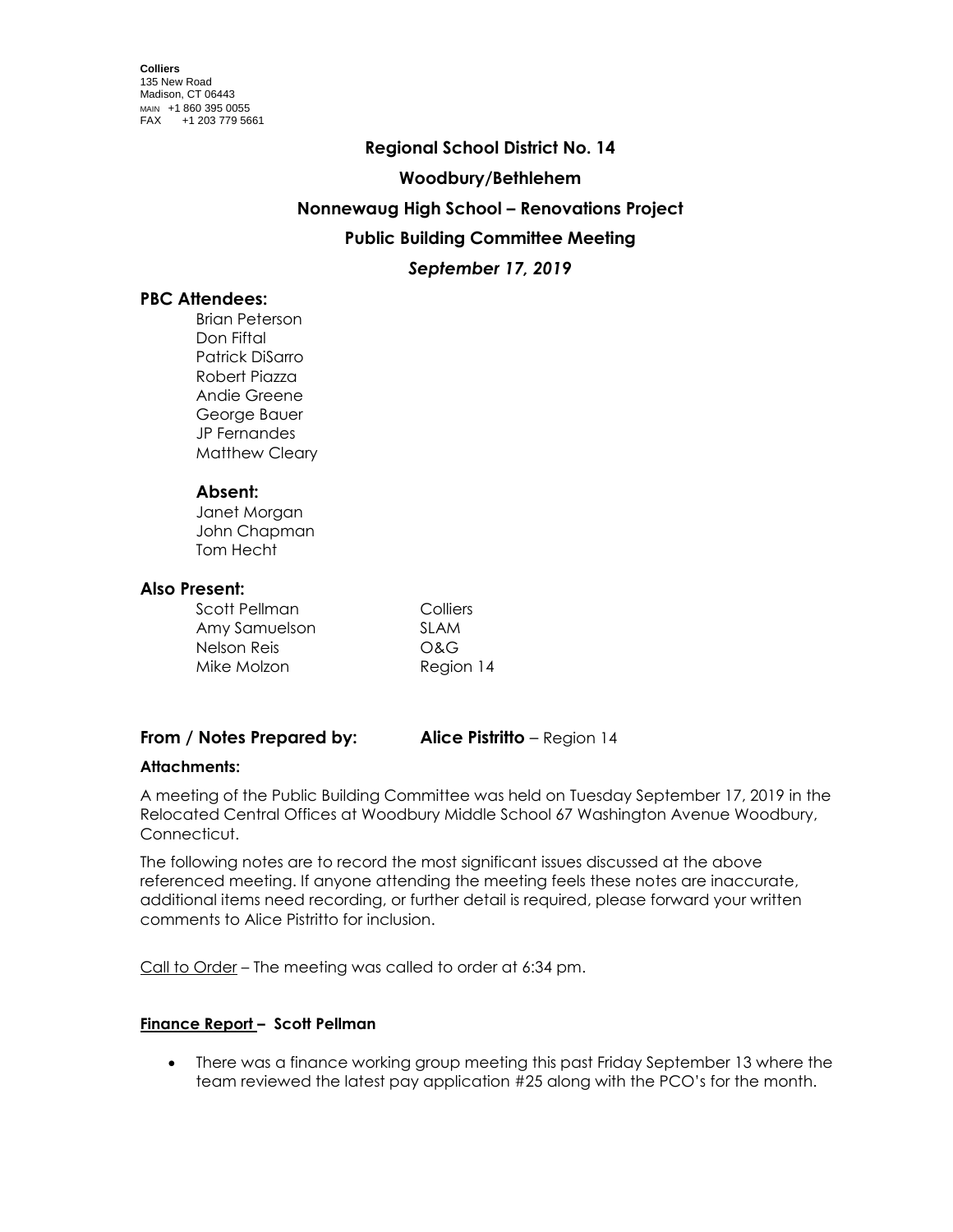### **Regional School District No. 14**

### **Woodbury/Bethlehem**

### **Nonnewaug High School – Renovations Project**

# **Public Building Committee Meeting**

### *September 17, 2019*

### **PBC Attendees:**

Brian Peterson Don Fiftal Patrick DiSarro Robert Piazza Andie Greene George Bauer JP Fernandes Matthew Cleary

### **Absent:**

Janet Morgan John Chapman Tom Hecht

### **Also Present:**

| Scott Pellman | Colliers  |
|---------------|-----------|
| Amy Samuelson | SI AM     |
| Nelson Reis   | O&G       |
| Mike Molzon   | Region 14 |

# **From / Notes Prepared by: Alice Pistritto** – Region 14

### **Attachments:**

A meeting of the Public Building Committee was held on Tuesday September 17, 2019 in the Relocated Central Offices at Woodbury Middle School 67 Washington Avenue Woodbury, Connecticut.

The following notes are to record the most significant issues discussed at the above referenced meeting. If anyone attending the meeting feels these notes are inaccurate, additional items need recording, or further detail is required, please forward your written comments to Alice Pistritto for inclusion.

Call to Order – The meeting was called to order at 6:34 pm.

### **Finance Report – Scott Pellman**

 There was a finance working group meeting this past Friday September 13 where the team reviewed the latest pay application #25 along with the PCO's for the month.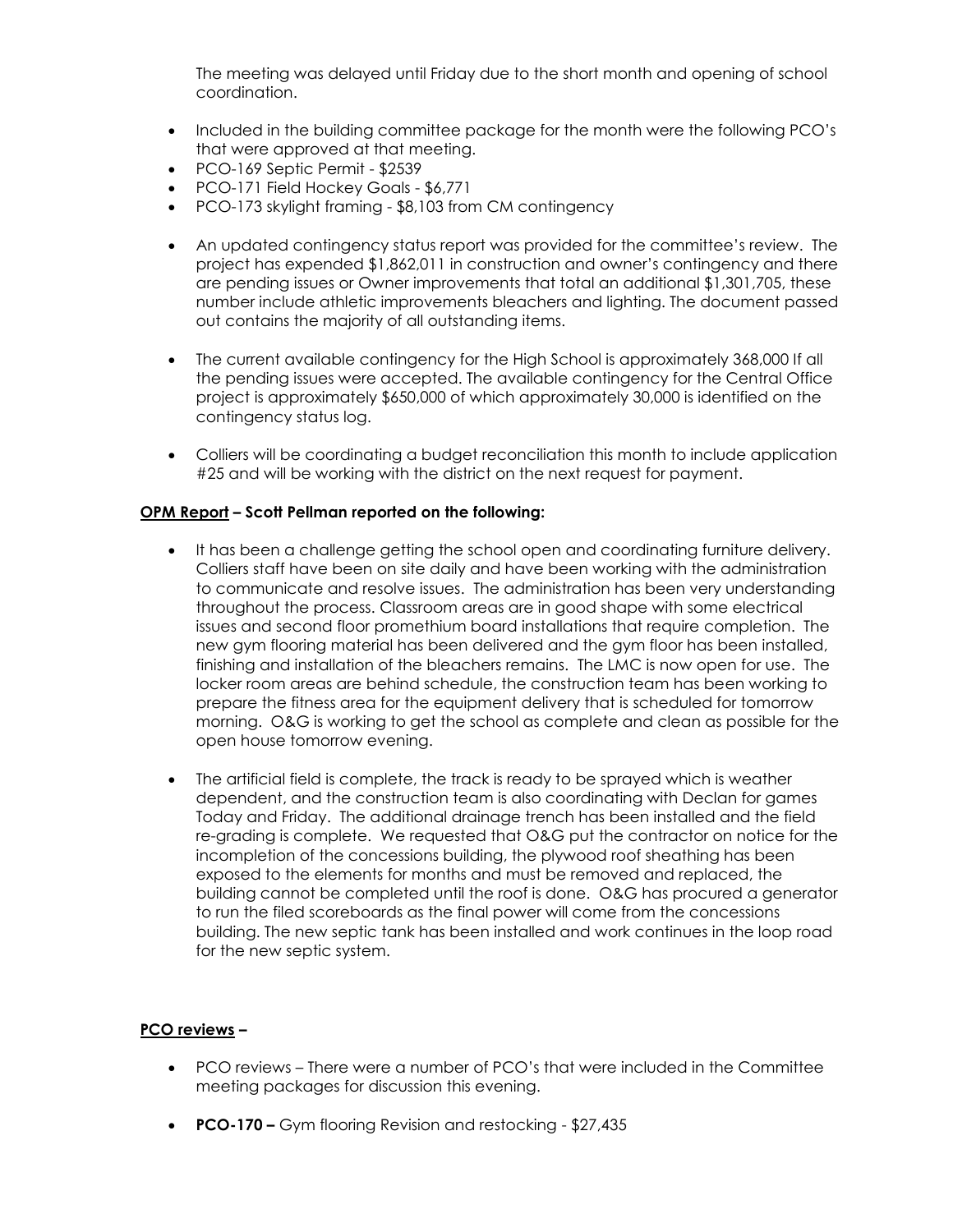The meeting was delayed until Friday due to the short month and opening of school coordination.

- Included in the building committee package for the month were the following PCO's that were approved at that meeting.
- PCO-169 Septic Permit \$2539
- PCO-171 Field Hockey Goals \$6,771
- PCO-173 skylight framing \$8,103 from CM contingency
- An updated contingency status report was provided for the committee's review. The project has expended \$1,862,011 in construction and owner's contingency and there are pending issues or Owner improvements that total an additional \$1,301,705, these number include athletic improvements bleachers and lighting. The document passed out contains the majority of all outstanding items.
- The current available contingency for the High School is approximately 368,000 If all the pending issues were accepted. The available contingency for the Central Office project is approximately \$650,000 of which approximately 30,000 is identified on the contingency status log.
- Colliers will be coordinating a budget reconciliation this month to include application #25 and will be working with the district on the next request for payment.

### **OPM Report – Scott Pellman reported on the following:**

- It has been a challenge getting the school open and coordinating furniture delivery. Colliers staff have been on site daily and have been working with the administration to communicate and resolve issues. The administration has been very understanding throughout the process. Classroom areas are in good shape with some electrical issues and second floor promethium board installations that require completion. The new gym flooring material has been delivered and the gym floor has been installed, finishing and installation of the bleachers remains. The LMC is now open for use. The locker room areas are behind schedule, the construction team has been working to prepare the fitness area for the equipment delivery that is scheduled for tomorrow morning. O&G is working to get the school as complete and clean as possible for the open house tomorrow evening.
- The artificial field is complete, the track is ready to be sprayed which is weather dependent, and the construction team is also coordinating with Declan for games Today and Friday. The additional drainage trench has been installed and the field re-grading is complete. We requested that O&G put the contractor on notice for the incompletion of the concessions building, the plywood roof sheathing has been exposed to the elements for months and must be removed and replaced, the building cannot be completed until the roof is done. O&G has procured a generator to run the filed scoreboards as the final power will come from the concessions building. The new septic tank has been installed and work continues in the loop road for the new septic system.

#### **PCO reviews –**

- PCO reviews There were a number of PCO's that were included in the Committee meeting packages for discussion this evening.
- **PCO-170 –** Gym flooring Revision and restocking \$27,435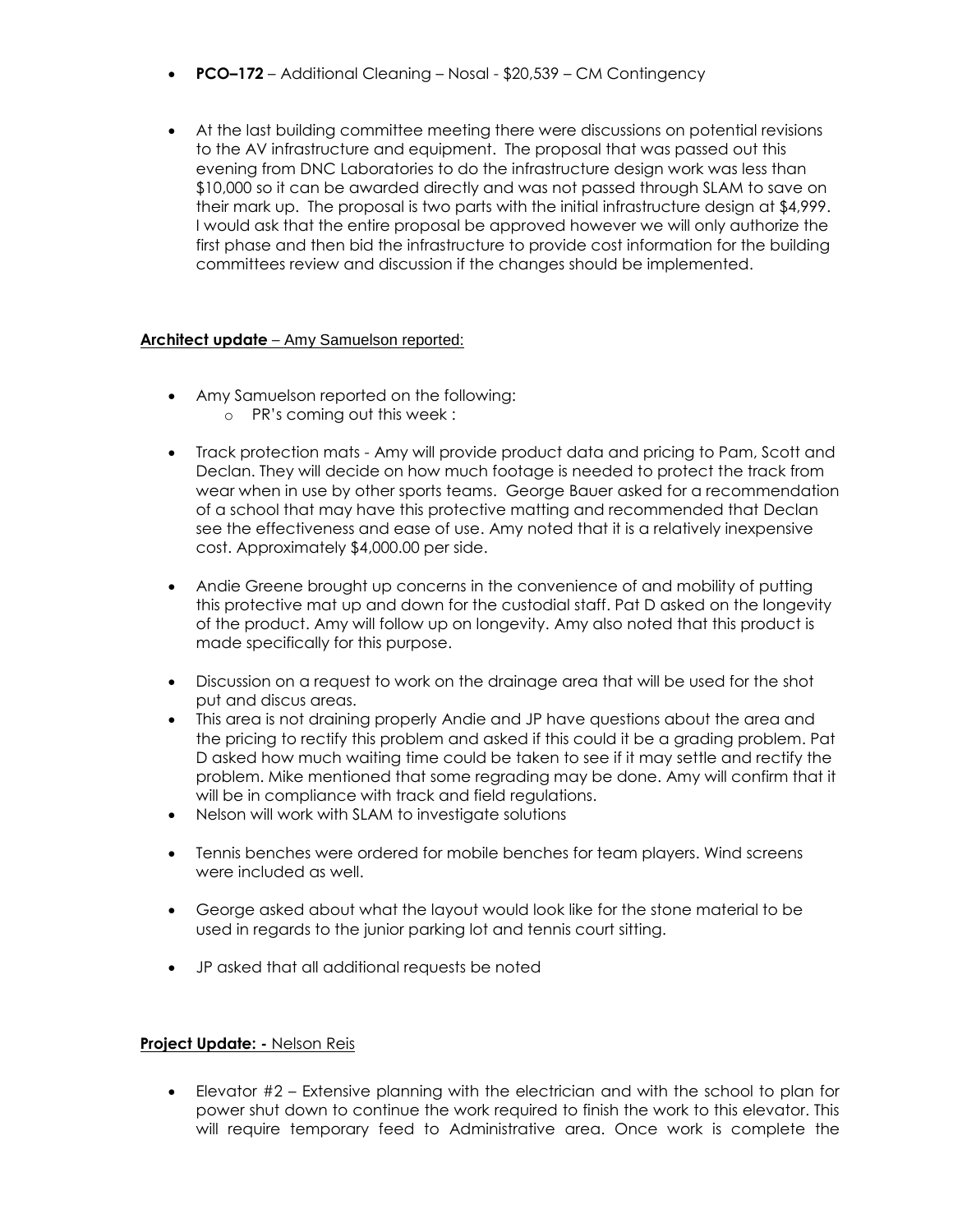- **PCO–172** Additional Cleaning Nosal \$20,539 CM Contingency
- At the last building committee meeting there were discussions on potential revisions to the AV infrastructure and equipment. The proposal that was passed out this evening from DNC Laboratories to do the infrastructure design work was less than \$10,000 so it can be awarded directly and was not passed through SLAM to save on their mark up. The proposal is two parts with the initial infrastructure design at \$4,999. I would ask that the entire proposal be approved however we will only authorize the first phase and then bid the infrastructure to provide cost information for the building committees review and discussion if the changes should be implemented.

### **Architect update** – Amy Samuelson reported:

- Amy Samuelson reported on the following:
	- o PR's coming out this week :
- Track protection mats Amy will provide product data and pricing to Pam, Scott and Declan. They will decide on how much footage is needed to protect the track from wear when in use by other sports teams. George Bauer asked for a recommendation of a school that may have this protective matting and recommended that Declan see the effectiveness and ease of use. Amy noted that it is a relatively inexpensive cost. Approximately \$4,000.00 per side.
- Andie Greene brought up concerns in the convenience of and mobility of putting this protective mat up and down for the custodial staff. Pat D asked on the longevity of the product. Amy will follow up on longevity. Amy also noted that this product is made specifically for this purpose.
- Discussion on a request to work on the drainage area that will be used for the shot put and discus areas.
- This area is not draining properly Andie and JP have questions about the area and the pricing to rectify this problem and asked if this could it be a grading problem. Pat D asked how much waiting time could be taken to see if it may settle and rectify the problem. Mike mentioned that some regrading may be done. Amy will confirm that it will be in compliance with track and field regulations.
- Nelson will work with SLAM to investigate solutions
- Tennis benches were ordered for mobile benches for team players. Wind screens were included as well.
- George asked about what the layout would look like for the stone material to be used in regards to the junior parking lot and tennis court sitting.
- JP asked that all additional requests be noted

### **Project Update: -** Nelson Reis

 Elevator #2 – Extensive planning with the electrician and with the school to plan for power shut down to continue the work required to finish the work to this elevator. This will require temporary feed to Administrative area. Once work is complete the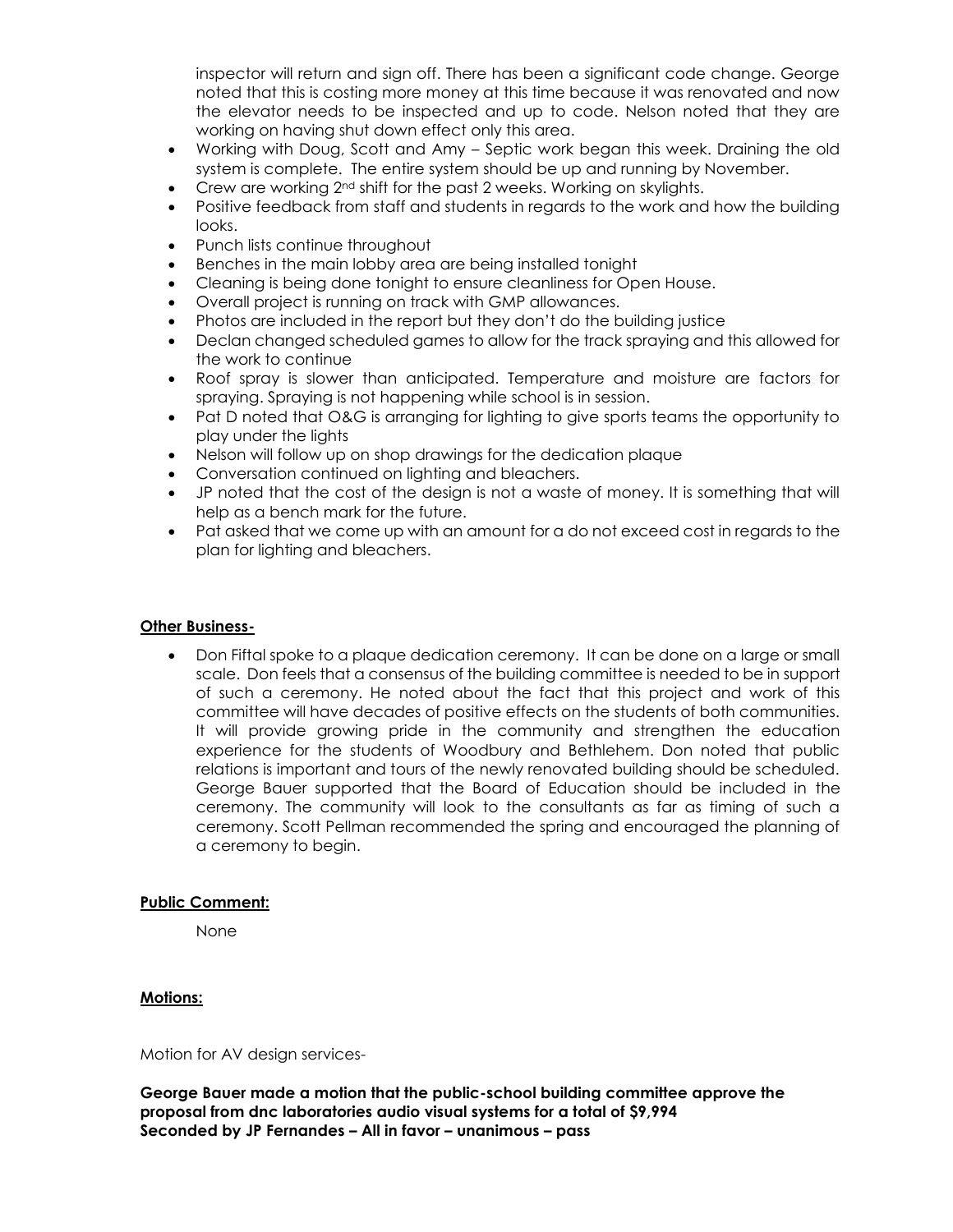inspector will return and sign off. There has been a significant code change. George noted that this is costing more money at this time because it was renovated and now the elevator needs to be inspected and up to code. Nelson noted that they are working on having shut down effect only this area.

- Working with Doug, Scott and Amy Septic work began this week. Draining the old system is complete. The entire system should be up and running by November.
- Crew are working  $2^{nd}$  shift for the past 2 weeks. Working on skylights.
- Positive feedback from staff and students in regards to the work and how the building looks.
- Punch lists continue throughout
- Benches in the main lobby area are being installed tonight
- Cleaning is being done tonight to ensure cleanliness for Open House.
- Overall project is running on track with GMP allowances.
- Photos are included in the report but they don't do the building justice
- Declan changed scheduled games to allow for the track spraying and this allowed for the work to continue
- Roof spray is slower than anticipated. Temperature and moisture are factors for spraying. Spraying is not happening while school is in session.
- Pat D noted that O&G is arranging for lighting to give sports teams the opportunity to play under the lights
- Nelson will follow up on shop drawings for the dedication plaque
- Conversation continued on lighting and bleachers.
- JP noted that the cost of the design is not a waste of money. It is something that will help as a bench mark for the future.
- Pat asked that we come up with an amount for a do not exceed cost in regards to the plan for lighting and bleachers.

### **Other Business-**

 Don Fiftal spoke to a plaque dedication ceremony. It can be done on a large or small scale. Don feels that a consensus of the building committee is needed to be in support of such a ceremony. He noted about the fact that this project and work of this committee will have decades of positive effects on the students of both communities. It will provide growing pride in the community and strengthen the education experience for the students of Woodbury and Bethlehem. Don noted that public relations is important and tours of the newly renovated building should be scheduled. George Bauer supported that the Board of Education should be included in the ceremony. The community will look to the consultants as far as timing of such a ceremony. Scott Pellman recommended the spring and encouraged the planning of a ceremony to begin.

### **Public Comment:**

None

### **Motions:**

Motion for AV design services-

**George Bauer made a motion that the public-school building committee approve the proposal from dnc laboratories audio visual systems for a total of \$9,994 Seconded by JP Fernandes – All in favor – unanimous – pass**